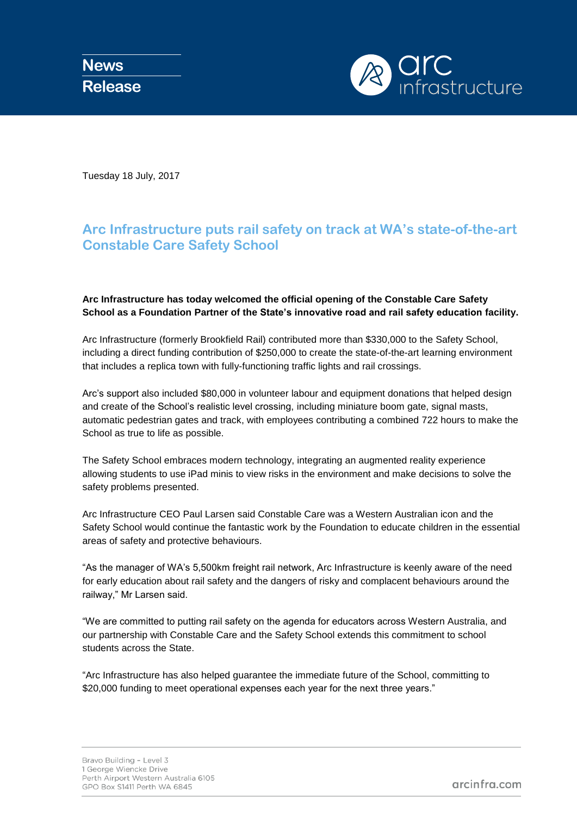

Tuesday 18 July, 2017

## **Arc Infrastructure puts rail safety on track at WA's state-of-the-art Constable Care Safety School**

**Arc Infrastructure has today welcomed the official opening of the Constable Care Safety School as a Foundation Partner of the State's innovative road and rail safety education facility.** 

Arc Infrastructure (formerly Brookfield Rail) contributed more than \$330,000 to the Safety School, including a direct funding contribution of \$250,000 to create the state-of-the-art learning environment that includes a replica town with fully-functioning traffic lights and rail crossings.

Arc's support also included \$80,000 in volunteer labour and equipment donations that helped design and create of the School's realistic level crossing, including miniature boom gate, signal masts, automatic pedestrian gates and track, with employees contributing a combined 722 hours to make the School as true to life as possible.

The Safety School embraces modern technology, integrating an augmented reality experience allowing students to use iPad minis to view risks in the environment and make decisions to solve the safety problems presented.

Arc Infrastructure CEO Paul Larsen said Constable Care was a Western Australian icon and the Safety School would continue the fantastic work by the Foundation to educate children in the essential areas of safety and protective behaviours.

"As the manager of WA's 5,500km freight rail network, Arc Infrastructure is keenly aware of the need for early education about rail safety and the dangers of risky and complacent behaviours around the railway," Mr Larsen said.

"We are committed to putting rail safety on the agenda for educators across Western Australia, and our partnership with Constable Care and the Safety School extends this commitment to school students across the State.

"Arc Infrastructure has also helped guarantee the immediate future of the School, committing to \$20,000 funding to meet operational expenses each year for the next three years."